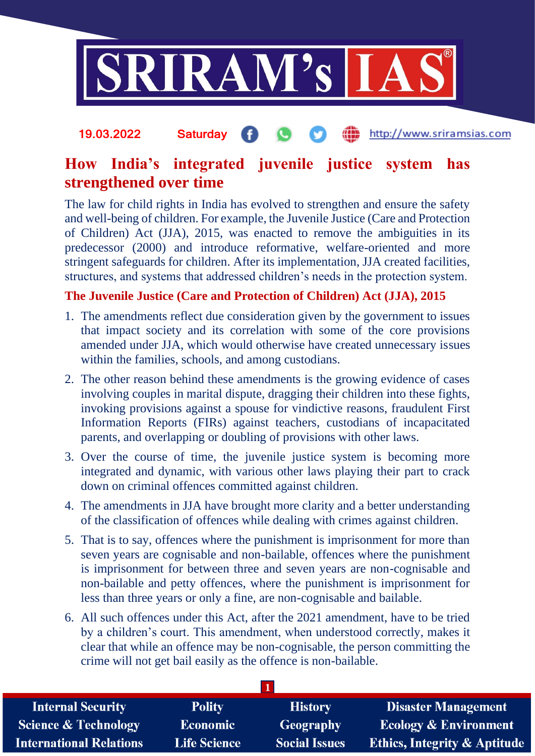

## http://www.sriramsias.com 19.03.2022 Saturday

## **How India's integrated juvenile justice system has strengthened over time**

The law for child rights in India has evolved to strengthen and ensure the safety and well-being of children. For example, the Juvenile Justice (Care and Protection of Children) Act (JJA), 2015, was enacted to remove the ambiguities in its predecessor (2000) and introduce reformative, welfare-oriented and more stringent safeguards for children. After its implementation, JJA created facilities, structures, and systems that addressed children's needs in the protection system.

## **The Juvenile Justice (Care and Protection of Children) Act (JJA), 2015**

- 1. The amendments reflect due consideration given by the government to issues that impact society and its correlation with some of the core provisions amended under JJA, which would otherwise have created unnecessary issues within the families, schools, and among custodians.
- 2. The other reason behind these amendments is the growing evidence of cases involving couples in marital dispute, dragging their children into these fights, invoking provisions against a spouse for vindictive reasons, fraudulent First Information Reports (FIRs) against teachers, custodians of incapacitated parents, and overlapping or doubling of provisions with other laws.
- 3. Over the course of time, the juvenile justice system is becoming more integrated and dynamic, with various other laws playing their part to crack down on criminal offences committed against children.
- 4. The amendments in JJA have brought more clarity and a better understanding of the classification of offences while dealing with crimes against children.
- 5. That is to say, offences where the punishment is imprisonment for more than seven years are cognisable and non-bailable, offences where the punishment is imprisonment for between three and seven years are non-cognisable and non-bailable and petty offences, where the punishment is imprisonment for less than three years or only a fine, are non-cognisable and bailable.
- 6. All such offences under this Act, after the 2021 amendment, have to be tried by a children's court. This amendment, when understood correctly, makes it clear that while an offence may be non-cognisable, the person committing the crime will not get bail easily as the offence is non-bailable.

| <b>Internal Security</b>        | <b>Polity</b>       | <b>History</b>       | <b>Disaster Management</b>              |
|---------------------------------|---------------------|----------------------|-----------------------------------------|
| <b>Science &amp; Technology</b> | <b>Economic</b>     | Geography            | <b>Ecology &amp; Environment</b>        |
| <b>International Relations</b>  | <b>Life Science</b> | <b>Social Issues</b> | <b>Ethics, Integrity &amp; Aptitude</b> |